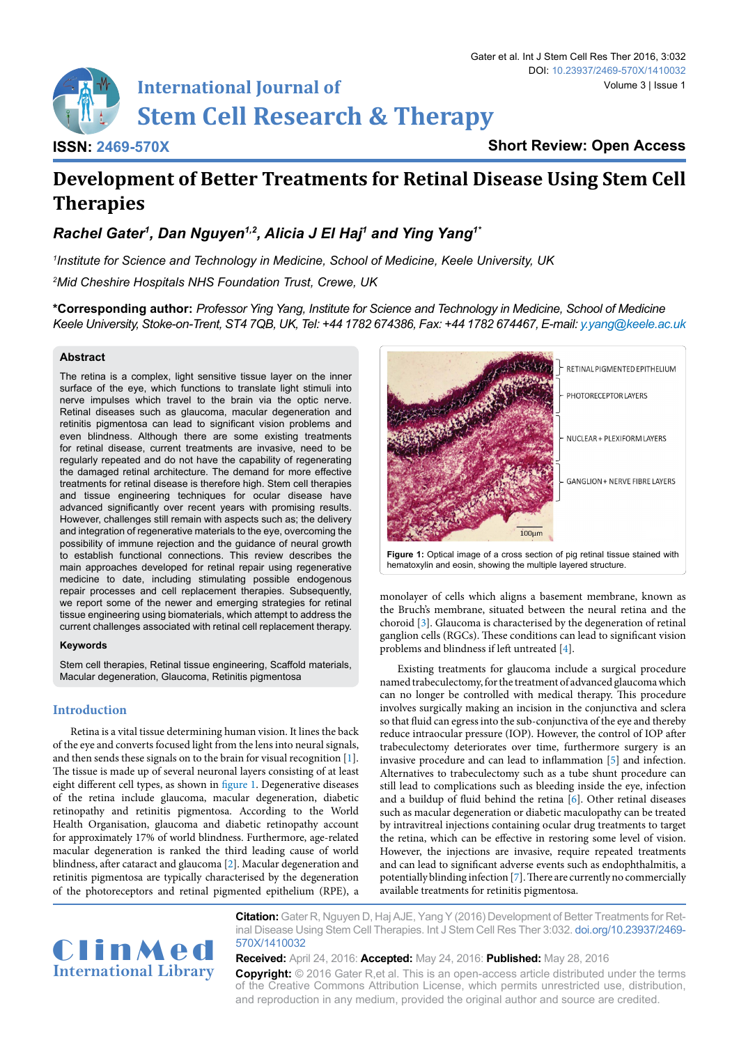

**ISSN: 2469-570X**

**Short Review: Open Access**

# **Development of Better Treatments for Retinal Disease Using Stem Cell Therapies**

*Rachel Gater1 , Dan Nguyen1,2, Alicia J El Haj1 and Ying Yang1\**

*1 Institute for Science and Technology in Medicine, School of Medicine, Keele University, UK 2 Mid Cheshire Hospitals NHS Foundation Trust, Crewe, UK*

**\*Corresponding author:** *Professor Ying Yang, Institute for Science and Technology in Medicine, School of Medicine Keele University, Stoke-on-Trent, ST4 7QB, UK, Tel: +44 1782 674386, Fax: +44 1782 674467, E-mail: y.yang@keele.ac.uk*

## **Abstract**

The retina is a complex, light sensitive tissue layer on the inner surface of the eye, which functions to translate light stimuli into nerve impulses which travel to the brain via the optic nerve. Retinal diseases such as glaucoma, macular degeneration and retinitis pigmentosa can lead to significant vision problems and even blindness. Although there are some existing treatments for retinal disease, current treatments are invasive, need to be regularly repeated and do not have the capability of regenerating the damaged retinal architecture. The demand for more effective treatments for retinal disease is therefore high. Stem cell therapies and tissue engineering techniques for ocular disease have advanced significantly over recent years with promising results. However, challenges still remain with aspects such as; the delivery and integration of regenerative materials to the eye, overcoming the possibility of immune rejection and the guidance of neural growth to establish functional connections. This review describes the main approaches developed for retinal repair using regenerative medicine to date, including stimulating possible endogenous repair processes and cell replacement therapies. Subsequently, we report some of the newer and emerging strategies for retinal tissue engineering using biomaterials, which attempt to address the current challenges associated with retinal cell replacement therapy.

#### **Keywords**

Stem cell therapies, Retinal tissue engineering, Scaffold materials, Macular degeneration, Glaucoma, Retinitis pigmentosa

# **Introduction**

Retina is a vital tissue determining human vision. It lines the back of the eye and converts focused light from the lens into neural signals, and then sends these signals on to the brain for visual recognition [[1\]](#page-4-0). The tissue is made up of several neuronal layers consisting of at least eight different cell types, as shown in [figure 1](#page-0-0). Degenerative diseases of the retina include glaucoma, macular degeneration, diabetic retinopathy and retinitis pigmentosa. According to the World Health Organisation, glaucoma and diabetic retinopathy account for approximately 17% of world blindness. Furthermore, age-related macular degeneration is ranked the third leading cause of world blindness, after cataract and glaucoma [[2\]](#page-4-1). Macular degeneration and retinitis pigmentosa are typically characterised by the degeneration of the photoreceptors and retinal pigmented epithelium (RPE), a

<span id="page-0-0"></span>

monolayer of cells which aligns a basement membrane, known as the Bruch's membrane, situated between the neural retina and the choroid [\[3](#page-4-2)]. Glaucoma is characterised by the degeneration of retinal ganglion cells (RGCs). These conditions can lead to significant vision problems and blindness if left untreated [[4\]](#page-4-3).

Existing treatments for glaucoma include a surgical procedure named trabeculectomy, for the treatment of advanced glaucoma which can no longer be controlled with medical therapy. This procedure involves surgically making an incision in the conjunctiva and sclera so that fluid can egress into the sub-conjunctiva of the eye and thereby reduce intraocular pressure (IOP). However, the control of IOP after trabeculectomy deteriorates over time, furthermore surgery is an invasive procedure and can lead to inflammation [[5](#page-4-4)] and infection. Alternatives to trabeculectomy such as a tube shunt procedure can still lead to complications such as bleeding inside the eye, infection and a buildup of fluid behind the retina [\[6\]](#page-4-5). Other retinal diseases such as macular degeneration or diabetic maculopathy can be treated by intravitreal injections containing ocular drug treatments to target the retina, which can be effective in restoring some level of vision. However, the injections are invasive, require repeated treatments and can lead to significant adverse events such as endophthalmitis, a potentially blinding infection [\[7](#page-4-6)]. There are currently no commercially available treatments for retinitis pigmentosa.



**Citation:** Gater R, Nguyen D, Haj AJE, Yang Y (2016) Development of Better Treatments for Retinal Disease Using Stem Cell Therapies. Int J Stem Cell Res Ther 3:032. [doi.org/10.23937/2469-](https://doi.org/10.23937/2469-570X/1410032) [570X/1410032](https://doi.org/10.23937/2469-570X/1410032)

**Received:** April 24, 2016: **Accepted:** May 24, 2016: **Published:** May 28, 2016 **Copyright:** © 2016 Gater R,et al. This is an open-access article distributed under the terms of the Creative Commons Attribution License, which permits unrestricted use, distribution, and reproduction in any medium, provided the original author and source are credited.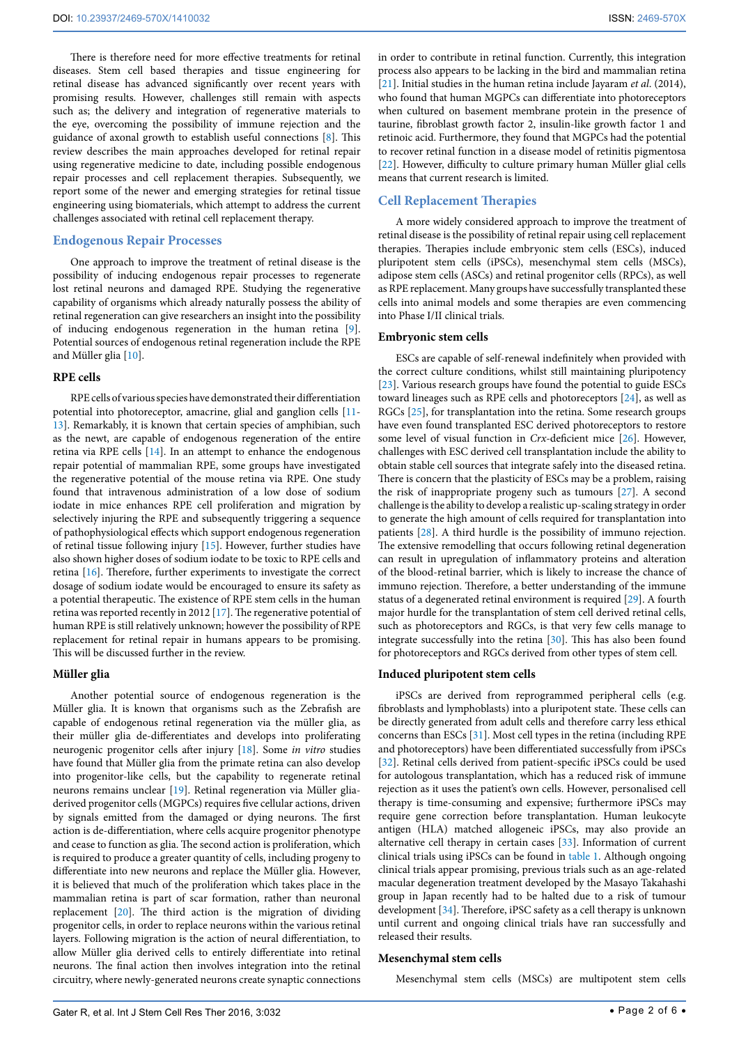There is therefore need for more effective treatments for retinal diseases. Stem cell based therapies and tissue engineering for retinal disease has advanced significantly over recent years with promising results. However, challenges still remain with aspects such as; the delivery and integration of regenerative materials to the eye, overcoming the possibility of immune rejection and the guidance of axonal growth to establish useful connections [[8](#page-4-7)]. This review describes the main approaches developed for retinal repair using regenerative medicine to date, including possible endogenous repair processes and cell replacement therapies. Subsequently, we report some of the newer and emerging strategies for retinal tissue engineering using biomaterials, which attempt to address the current challenges associated with retinal cell replacement therapy.

# **Endogenous Repair Processes**

One approach to improve the treatment of retinal disease is the possibility of inducing endogenous repair processes to regenerate lost retinal neurons and damaged RPE. Studying the regenerative capability of organisms which already naturally possess the ability of retinal regeneration can give researchers an insight into the possibility of inducing endogenous regeneration in the human retina [\[9](#page-4-8)]. Potential sources of endogenous retinal regeneration include the RPE and Müller glia [[10](#page-4-9)].

#### **RPE cells**

RPE cells of various species have demonstrated their differentiation potential into photoreceptor, amacrine, glial and ganglion cells [[11](#page-4-10)- [13](#page-4-11)]. Remarkably, it is known that certain species of amphibian, such as the newt, are capable of endogenous regeneration of the entire retina via RPE cells [\[14\]](#page-4-12). In an attempt to enhance the endogenous repair potential of mammalian RPE, some groups have investigated the regenerative potential of the mouse retina via RPE. One study found that intravenous administration of a low dose of sodium iodate in mice enhances RPE cell proliferation and migration by selectively injuring the RPE and subsequently triggering a sequence of pathophysiological effects which support endogenous regeneration of retinal tissue following injury [\[15\]](#page-4-13). However, further studies have also shown higher doses of sodium iodate to be toxic to RPE cells and retina [\[16](#page-4-14)]. Therefore, further experiments to investigate the correct dosage of sodium iodate would be encouraged to ensure its safety as a potential therapeutic. The existence of RPE stem cells in the human retina was reported recently in 2012 [[17\]](#page-4-15). The regenerative potential of human RPE is still relatively unknown; however the possibility of RPE replacement for retinal repair in humans appears to be promising. This will be discussed further in the review.

#### **Müller glia**

Another potential source of endogenous regeneration is the Müller glia. It is known that organisms such as the Zebrafish are capable of endogenous retinal regeneration via the müller glia, as their müller glia de-differentiates and develops into proliferating neurogenic progenitor cells after injury [[18](#page-4-16)]. Some *in vitro* studies have found that Müller glia from the primate retina can also develop into progenitor-like cells, but the capability to regenerate retinal neurons remains unclear [[19](#page-4-17)]. Retinal regeneration via Müller gliaderived progenitor cells (MGPCs) requires five cellular actions, driven by signals emitted from the damaged or dying neurons. The first action is de-differentiation, where cells acquire progenitor phenotype and cease to function as glia. The second action is proliferation, which is required to produce a greater quantity of cells, including progeny to differentiate into new neurons and replace the Müller glia. However, it is believed that much of the proliferation which takes place in the mammalian retina is part of scar formation, rather than neuronal replacement [[20](#page-4-18)]. The third action is the migration of dividing progenitor cells, in order to replace neurons within the various retinal layers. Following migration is the action of neural differentiation, to allow Müller glia derived cells to entirely differentiate into retinal neurons. The final action then involves integration into the retinal circuitry, where newly-generated neurons create synaptic connections in order to contribute in retinal function. Currently, this integration process also appears to be lacking in the bird and mammalian retina [[21](#page-4-19)]. Initial studies in the human retina include Jayaram *et al*. (2014), who found that human MGPCs can differentiate into photoreceptors when cultured on basement membrane protein in the presence of taurine, fibroblast growth factor 2, insulin-like growth factor 1 and retinoic acid. Furthermore, they found that MGPCs had the potential to recover retinal function in a disease model of retinitis pigmentosa [[22](#page-4-20)]. However, difficulty to culture primary human Müller glial cells means that current research is limited.

# **Cell Replacement Therapies**

A more widely considered approach to improve the treatment of retinal disease is the possibility of retinal repair using cell replacement therapies. Therapies include embryonic stem cells (ESCs), induced pluripotent stem cells (iPSCs), mesenchymal stem cells (MSCs), adipose stem cells (ASCs) and retinal progenitor cells (RPCs), as well as RPE replacement. Many groups have successfully transplanted these cells into animal models and some therapies are even commencing into Phase I/II clinical trials.

#### **Embryonic stem cells**

ESCs are capable of self-renewal indefinitely when provided with the correct culture conditions, whilst still maintaining pluripotency [[23](#page-4-21)]. Various research groups have found the potential to guide ESCs toward lineages such as RPE cells and photoreceptors [\[24\]](#page-4-22), as well as RGCs [\[25](#page-4-23)], for transplantation into the retina. Some research groups have even found transplanted ESC derived photoreceptors to restore some level of visual function in *Crx-*deficient mice [[26](#page-4-24)]. However, challenges with ESC derived cell transplantation include the ability to obtain stable cell sources that integrate safely into the diseased retina. There is concern that the plasticity of ESCs may be a problem, raising the risk of inappropriate progeny such as tumours [[27](#page-4-25)]. A second challenge is the ability to develop a realistic up-scaling strategy in order to generate the high amount of cells required for transplantation into patients [\[28\]](#page-4-26). A third hurdle is the possibility of immuno rejection. The extensive remodelling that occurs following retinal degeneration can result in upregulation of inflammatory proteins and alteration of the blood-retinal barrier, which is likely to increase the chance of immuno rejection. Therefore, a better understanding of the immune status of a degenerated retinal environment is required [[29](#page-4-27)]. A fourth major hurdle for the transplantation of stem cell derived retinal cells, such as photoreceptors and RGCs, is that very few cells manage to integrate successfully into the retina [[30](#page-4-28)]. This has also been found for photoreceptors and RGCs derived from other types of stem cell.

#### **Induced pluripotent stem cells**

iPSCs are derived from reprogrammed peripheral cells (e.g. fibroblasts and lymphoblasts) into a pluripotent state. These cells can be directly generated from adult cells and therefore carry less ethical concerns than ESCs [\[31\]](#page-4-29). Most cell types in the retina (including RPE and photoreceptors) have been differentiated successfully from iPSCs [[32](#page-4-30)]. Retinal cells derived from patient-specific iPSCs could be used for autologous transplantation, which has a reduced risk of immune rejection as it uses the patient's own cells. However, personalised cell therapy is time-consuming and expensive; furthermore iPSCs may require gene correction before transplantation. Human leukocyte antigen (HLA) matched allogeneic iPSCs, may also provide an alternative cell therapy in certain cases [[33](#page-4-31)]. Information of current clinical trials using iPSCs can be found in table 1. Although ongoing clinical trials appear promising, previous trials such as an age-related macular degeneration treatment developed by the Masayo Takahashi group in Japan recently had to be halted due to a risk of tumour development [\[34\]](#page-4-32). Therefore, iPSC safety as a cell therapy is unknown until current and ongoing clinical trials have ran successfully and released their results.

# **Mesenchymal stem cells**

Mesenchymal stem cells (MSCs) are multipotent stem cells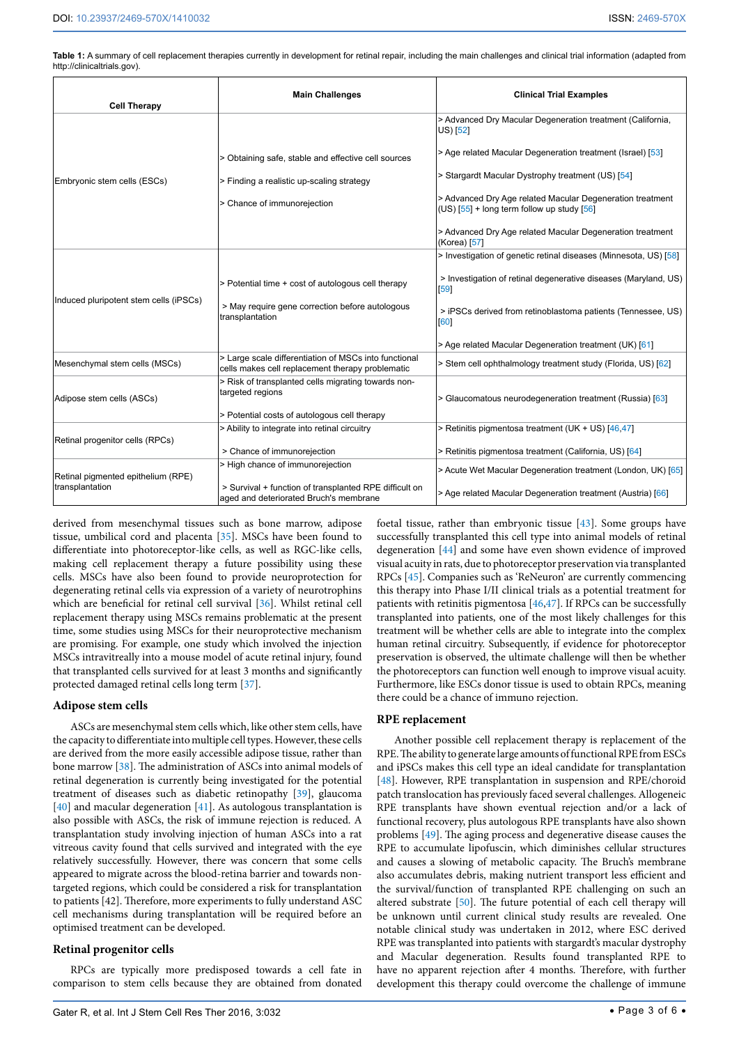**Table 1:** A summary of cell replacement therapies currently in development for retinal repair, including the main challenges and clinical trial information (adapted from <http://clinicaltrials.gov>).

| <b>Cell Therapy</b>                                   | <b>Main Challenges</b>                                                                                    | <b>Clinical Trial Examples</b>                                                                            |
|-------------------------------------------------------|-----------------------------------------------------------------------------------------------------------|-----------------------------------------------------------------------------------------------------------|
| Embryonic stem cells (ESCs)                           |                                                                                                           | > Advanced Dry Macular Degeneration treatment (California,<br>US) [52]                                    |
|                                                       | > Obtaining safe, stable and effective cell sources                                                       | > Age related Macular Degeneration treatment (Israel) [53]                                                |
|                                                       | > Finding a realistic up-scaling strategy                                                                 | > Stargardt Macular Dystrophy treatment (US) [54]                                                         |
|                                                       | > Chance of immunorejection                                                                               | > Advanced Dry Age related Macular Degeneration treatment<br>$(US)$ [55] + long term follow up study [56] |
|                                                       |                                                                                                           | > Advanced Dry Age related Macular Degeneration treatment<br>(Korea) [57]                                 |
| Induced pluripotent stem cells (iPSCs)                |                                                                                                           | > Investigation of genetic retinal diseases (Minnesota, US) [58]                                          |
|                                                       | > Potential time + cost of autologous cell therapy                                                        | > Investigation of retinal degenerative diseases (Maryland, US)<br>[59]                                   |
|                                                       | > May require gene correction before autologous<br>transplantation                                        | > iPSCs derived from retinoblastoma patients (Tennessee, US)<br>[60]                                      |
|                                                       |                                                                                                           | > Age related Macular Degeneration treatment (UK) [61]                                                    |
| Mesenchymal stem cells (MSCs)                         | > Large scale differentiation of MSCs into functional<br>cells makes cell replacement therapy problematic | > Stem cell ophthalmology treatment study (Florida, US) [62]                                              |
| Adipose stem cells (ASCs)                             | > Risk of transplanted cells migrating towards non-<br>targeted regions                                   | > Glaucomatous neurodegeneration treatment (Russia) [63]                                                  |
|                                                       | > Potential costs of autologous cell therapy                                                              |                                                                                                           |
| Retinal progenitor cells (RPCs)                       | > Ability to integrate into retinal circuitry                                                             | > Retinitis pigmentosa treatment (UK + US) [46,47]                                                        |
|                                                       | > Chance of immunorejection                                                                               | > Retinitis pigmentosa treatment (California, US) [64]                                                    |
| Retinal pigmented epithelium (RPE)<br>transplantation | > High chance of immunorejection                                                                          | > Acute Wet Macular Degeneration treatment (London, UK) [65]                                              |
|                                                       | > Survival + function of transplanted RPE difficult on<br>aged and deteriorated Bruch's membrane          | > Age related Macular Degeneration treatment (Austria) [66]                                               |

derived from mesenchymal tissues such as bone marrow, adipose tissue, umbilical cord and placenta [[35](#page-4-33)]. MSCs have been found to differentiate into photoreceptor-like cells, as well as RGC-like cells, making cell replacement therapy a future possibility using these cells. MSCs have also been found to provide neuroprotection for degenerating retinal cells via expression of a variety of neurotrophins which are beneficial for retinal cell survival [[36\]](#page-4-34). Whilst retinal cell replacement therapy using MSCs remains problematic at the present time, some studies using MSCs for their neuroprotective mechanism are promising. For example, one study which involved the injection MSCs intravitreally into a mouse model of acute retinal injury, found that transplanted cells survived for at least 3 months and significantly protected damaged retinal cells long term [[37](#page-4-35)].

# **Adipose stem cells**

ASCs are mesenchymal stem cells which, like other stem cells, have the capacity to differentiate into multiple cell types. However, these cells are derived from the more easily accessible adipose tissue, rather than bone marrow [[38](#page-4-36)]. The administration of ASCs into animal models of retinal degeneration is currently being investigated for the potential treatment of diseases such as diabetic retinopathy [\[39\]](#page-4-37), glaucoma [[40](#page-4-38)] and macular degeneration [[41](#page-4-39)]. As autologous transplantation is also possible with ASCs, the risk of immune rejection is reduced. A transplantation study involving injection of human ASCs into a rat vitreous cavity found that cells survived and integrated with the eye relatively successfully. However, there was concern that some cells appeared to migrate across the blood-retina barrier and towards nontargeted regions, which could be considered a risk for transplantation to patients [42]. Therefore, more experiments to fully understand ASC cell mechanisms during transplantation will be required before an optimised treatment can be developed.

# **Retinal progenitor cells**

RPCs are typically more predisposed towards a cell fate in comparison to stem cells because they are obtained from donated foetal tissue, rather than embryonic tissue [\[43](#page-4-40)]. Some groups have successfully transplanted this cell type into animal models of retinal degeneration [\[44](#page-4-41)] and some have even shown evidence of improved visual acuity in rats, due to photoreceptor preservation via transplanted RPCs [[45](#page-5-0)]. Companies such as 'ReNeuron' are currently commencing this therapy into Phase I/II clinical trials as a potential treatment for patients with retinitis pigmentosa [\[46,](#page-5-1)[47](#page-5-2)]. If RPCs can be successfully transplanted into patients, one of the most likely challenges for this treatment will be whether cells are able to integrate into the complex human retinal circuitry. Subsequently, if evidence for photoreceptor preservation is observed, the ultimate challenge will then be whether the photoreceptors can function well enough to improve visual acuity. Furthermore, like ESCs donor tissue is used to obtain RPCs, meaning there could be a chance of immuno rejection.

# **RPE replacement**

Another possible cell replacement therapy is replacement of the RPE. The ability to generate large amounts of functional RPE from ESCs and iPSCs makes this cell type an ideal candidate for transplantation [[48](#page-5-3)]. However, RPE transplantation in suspension and RPE/choroid patch translocation has previously faced several challenges. Allogeneic RPE transplants have shown eventual rejection and/or a lack of functional recovery, plus autologous RPE transplants have also shown problems [[49](#page-5-4)]. The aging process and degenerative disease causes the RPE to accumulate lipofuscin, which diminishes cellular structures and causes a slowing of metabolic capacity. The Bruch's membrane also accumulates debris, making nutrient transport less efficient and the survival/function of transplanted RPE challenging on such an altered substrate [[50\]](#page-5-5). The future potential of each cell therapy will be unknown until current clinical study results are revealed. One notable clinical study was undertaken in 2012, where ESC derived RPE was transplanted into patients with stargardt's macular dystrophy and Macular degeneration. Results found transplanted RPE to have no apparent rejection after 4 months. Therefore, with further development this therapy could overcome the challenge of immune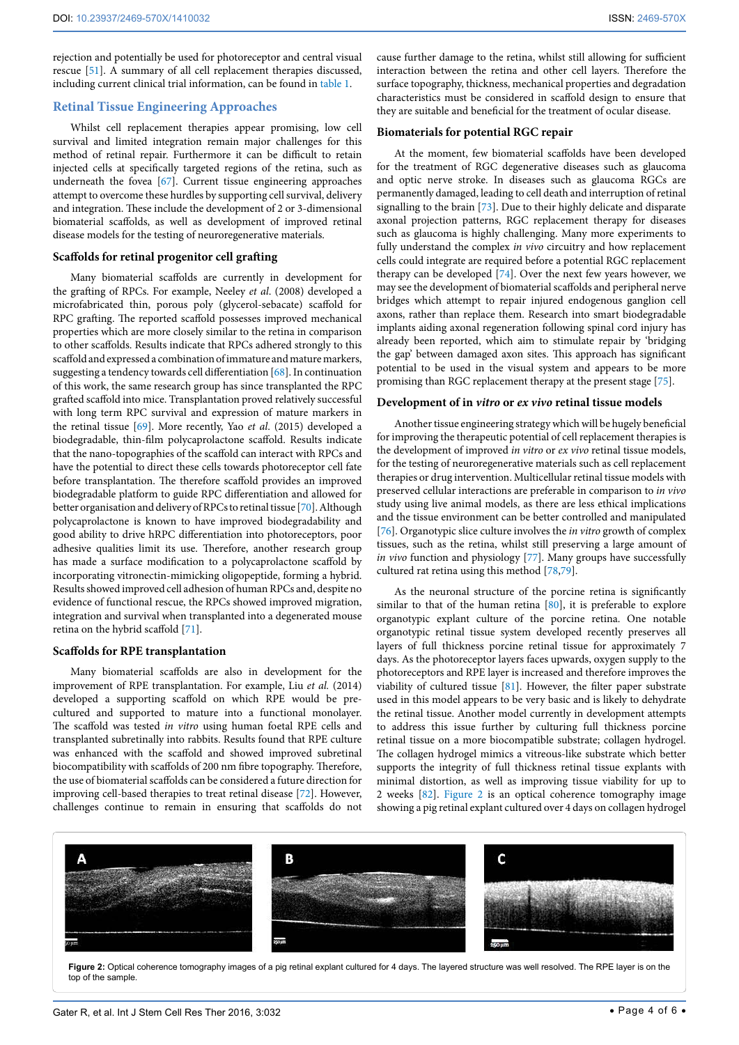rejection and potentially be used for photoreceptor and central visual rescue [[51](#page-5-21)]. A summary of all cell replacement therapies discussed, including current clinical trial information, can be found in table 1.

# **Retinal Tissue Engineering Approaches**

Whilst cell replacement therapies appear promising, low cell survival and limited integration remain major challenges for this method of retinal repair. Furthermore it can be difficult to retain injected cells at specifically targeted regions of the retina, such as underneath the fovea [[67](#page-5-22)]. Current tissue engineering approaches attempt to overcome these hurdles by supporting cell survival, delivery and integration. These include the development of 2 or 3-dimensional biomaterial scaffolds, as well as development of improved retinal disease models for the testing of neuroregenerative materials.

#### **Scaffolds for retinal progenitor cell grafting**

Many biomaterial scaffolds are currently in development for the grafting of RPCs. For example, Neeley *et al*. (2008) developed a microfabricated thin, porous poly (glycerol-sebacate) scaffold for RPC grafting. The reported scaffold possesses improved mechanical properties which are more closely similar to the retina in comparison to other scaffolds. Results indicate that RPCs adhered strongly to this scaffold and expressed a combination of immature and mature markers, suggesting a tendency towards cell differentiation [[68\]](#page-5-23). In continuation of this work, the same research group has since transplanted the RPC grafted scaffold into mice. Transplantation proved relatively successful with long term RPC survival and expression of mature markers in the retinal tissue [\[69](#page-5-24)]. More recently, Yao *et al*. (2015) developed a biodegradable, thin-film polycaprolactone scaffold. Results indicate that the nano-topographies of the scaffold can interact with RPCs and have the potential to direct these cells towards photoreceptor cell fate before transplantation. The therefore scaffold provides an improved biodegradable platform to guide RPC differentiation and allowed for better organisation and delivery of RPCs to retinal tissue [\[70\]](#page-5-25). Although polycaprolactone is known to have improved biodegradability and good ability to drive hRPC differentiation into photoreceptors, poor adhesive qualities limit its use. Therefore, another research group has made a surface modification to a polycaprolactone scaffold by incorporating vitronectin-mimicking oligopeptide, forming a hybrid. Results showed improved cell adhesion of human RPCs and, despite no evidence of functional rescue, the RPCs showed improved migration, integration and survival when transplanted into a degenerated mouse retina on the hybrid scaffold [\[71\]](#page-5-26).

#### **Scaffolds for RPE transplantation**

Many biomaterial scaffolds are also in development for the improvement of RPE transplantation. For example, Liu *et al.* (2014) developed a supporting scaffold on which RPE would be precultured and supported to mature into a functional monolayer. The scaffold was tested *in vitro* using human foetal RPE cells and transplanted subretinally into rabbits. Results found that RPE culture was enhanced with the scaffold and showed improved subretinal biocompatibility with scaffolds of 200 nm fibre topography. Therefore, the use of biomaterial scaffolds can be considered a future direction for improving cell-based therapies to treat retinal disease [[72](#page-5-27)]. However, challenges continue to remain in ensuring that scaffolds do not

cause further damage to the retina, whilst still allowing for sufficient interaction between the retina and other cell layers. Therefore the surface topography, thickness, mechanical properties and degradation characteristics must be considered in scaffold design to ensure that they are suitable and beneficial for the treatment of ocular disease.

#### **Biomaterials for potential RGC repair**

At the moment, few biomaterial scaffolds have been developed for the treatment of RGC degenerative diseases such as glaucoma and optic nerve stroke. In diseases such as glaucoma RGCs are permanently damaged, leading to cell death and interruption of retinal signalling to the brain [[73\]](#page-5-28). Due to their highly delicate and disparate axonal projection patterns, RGC replacement therapy for diseases such as glaucoma is highly challenging. Many more experiments to fully understand the complex *in vivo* circuitry and how replacement cells could integrate are required before a potential RGC replacement therapy can be developed [\[74\]](#page-5-29). Over the next few years however, we may see the development of biomaterial scaffolds and peripheral nerve bridges which attempt to repair injured endogenous ganglion cell axons, rather than replace them. Research into smart biodegradable implants aiding axonal regeneration following spinal cord injury has already been reported, which aim to stimulate repair by 'bridging the gap' between damaged axon sites. This approach has significant potential to be used in the visual system and appears to be more promising than RGC replacement therapy at the present stage [[75\]](#page-5-30).

#### **Development of in** *vitro* **or** *ex vivo* **retinal tissue models**

Another tissue engineering strategy which will be hugely beneficial for improving the therapeutic potential of cell replacement therapies is the development of improved *in vitro* or *ex vivo* retinal tissue models, for the testing of neuroregenerative materials such as cell replacement therapies or drug intervention. Multicellular retinal tissue models with preserved cellular interactions are preferable in comparison to *in vivo* study using live animal models, as there are less ethical implications and the tissue environment can be better controlled and manipulated [[76](#page-5-31)]. Organotypic slice culture involves the *in vitro* growth of complex tissues, such as the retina, whilst still preserving a large amount of *in vivo* function and physiology [[77](#page-5-32)]. Many groups have successfully cultured rat retina using this method [\[78,](#page-5-33)[79](#page-5-34)].

As the neuronal structure of the porcine retina is significantly similar to that of the human retina [[80](#page-5-35)], it is preferable to explore organotypic explant culture of the porcine retina. One notable organotypic retinal tissue system developed recently preserves all layers of full thickness porcine retinal tissue for approximately 7 days. As the photoreceptor layers faces upwards, oxygen supply to the photoreceptors and RPE layer is increased and therefore improves the viability of cultured tissue [[81\]](#page-5-36). However, the filter paper substrate used in this model appears to be very basic and is likely to dehydrate the retinal tissue. Another model currently in development attempts to address this issue further by culturing full thickness porcine retinal tissue on a more biocompatible substrate; collagen hydrogel. The collagen hydrogel mimics a vitreous-like substrate which better supports the integrity of full thickness retinal tissue explants with minimal distortion, as well as improving tissue viability for up to 2 weeks [\[82\]](#page-5-37). [Figure 2](#page-3-0) is an optical coherence tomography image showing a pig retinal explant cultured over 4 days on collagen hydrogel

<span id="page-3-0"></span>

**Figure 2:** Optical coherence tomography images of a pig retinal explant cultured for 4 days. The layered structure was well resolved. The RPE layer is on the top of the sample.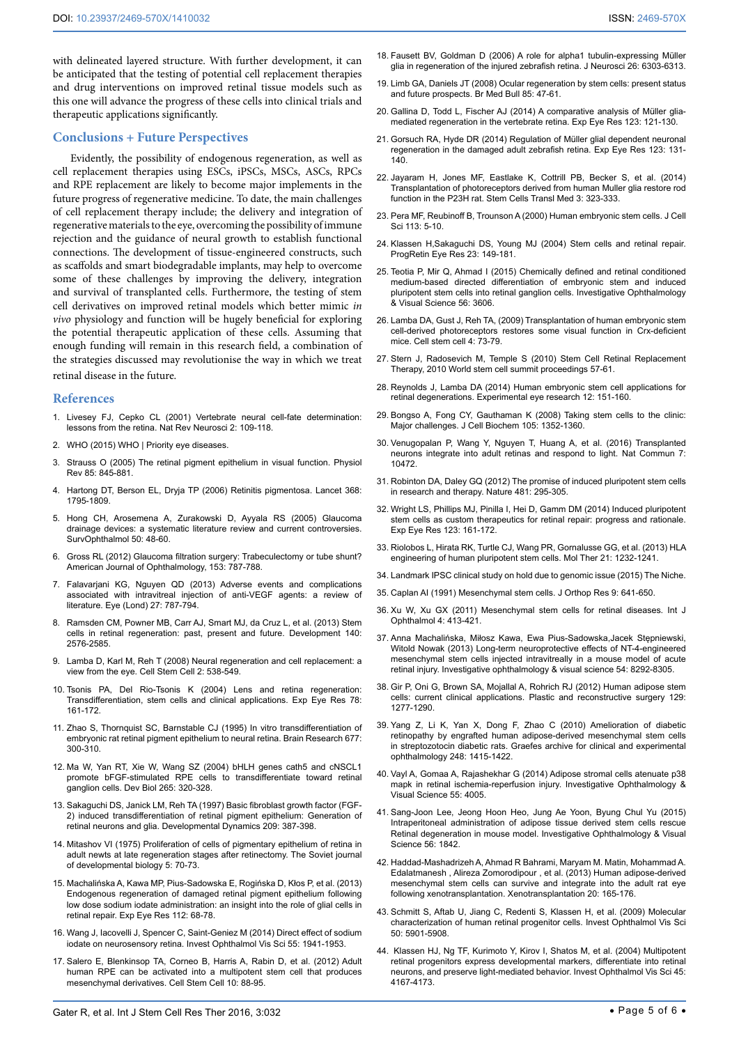with delineated layered structure. With further development, it can be anticipated that the testing of potential cell replacement therapies and drug interventions on improved retinal tissue models such as this one will advance the progress of these cells into clinical trials and therapeutic applications significantly.

# **Conclusions + Future Perspectives**

Evidently, the possibility of endogenous regeneration, as well as cell replacement therapies using ESCs, iPSCs, MSCs, ASCs, RPCs and RPE replacement are likely to become major implements in the future progress of regenerative medicine. To date, the main challenges of cell replacement therapy include; the delivery and integration of regenerative materials to the eye, overcoming the possibility of immune rejection and the guidance of neural growth to establish functional connections. The development of tissue-engineered constructs, such as scaffolds and smart biodegradable implants, may help to overcome some of these challenges by improving the delivery, integration and survival of transplanted cells. Furthermore, the testing of stem cell derivatives on improved retinal models which better mimic *in vivo* physiology and function will be hugely beneficial for exploring the potential therapeutic application of these cells. Assuming that enough funding will remain in this research field, a combination of the strategies discussed may revolutionise the way in which we treat retinal disease in the future.

## **References**

- <span id="page-4-0"></span>1. [Livesey FJ, Cepko CL \(2001\) Vertebrate neural cell-fate determination:](http://www.ncbi.nlm.nih.gov/pubmed/11252990)  [lessons from the retina. Nat Rev Neurosci 2: 109-118.](http://www.ncbi.nlm.nih.gov/pubmed/11252990)
- <span id="page-4-1"></span>2. WHO (2015) WHO I Priority eye diseases.
- <span id="page-4-2"></span>3. [Strauss O \(2005\) The retinal pigment epithelium in visual function. Physiol](http://www.ncbi.nlm.nih.gov/pubmed/15987797)  [Rev 85: 845-881.](http://www.ncbi.nlm.nih.gov/pubmed/15987797)
- <span id="page-4-3"></span>4. [Hartong DT, Berson EL, Dryja TP \(2006\) Retinitis pigmentosa. Lancet 368:](http://www.ncbi.nlm.nih.gov/pubmed/17113430)  [1795-1809.](http://www.ncbi.nlm.nih.gov/pubmed/17113430)
- <span id="page-4-4"></span>5. [Hong CH, Arosemena A, Zurakowski D, Ayyala RS \(2005\) Glaucoma](http://www.ncbi.nlm.nih.gov/pubmed/15621077)  [drainage devices: a systematic literature review and current controversies.](http://www.ncbi.nlm.nih.gov/pubmed/15621077)  [SurvOphthalmol 50: 48-60.](http://www.ncbi.nlm.nih.gov/pubmed/15621077)
- <span id="page-4-5"></span>6. [Gross RL \(2012\) Glaucoma filtration surgery: Trabeculectomy or tube shunt?](http://dx.doi.org/10.1016/j.ajo.2011.11.036)  [American Journal of Ophthalmology, 153: 787-788.](http://dx.doi.org/10.1016/j.ajo.2011.11.036)
- <span id="page-4-6"></span>7. [Falavarjani KG, Nguyen QD \(2013\) Adverse events and complications](http://www.ncbi.nlm.nih.gov/pubmed/23722722)  [associated with intravitreal injection of anti-VEGF agents: a review of](http://www.ncbi.nlm.nih.gov/pubmed/23722722)  [literature. Eye \(Lond\) 27: 787-794.](http://www.ncbi.nlm.nih.gov/pubmed/23722722)
- <span id="page-4-7"></span>8. [Ramsden CM, Powner MB, Carr AJ, Smart MJ, da Cruz L, et al. \(2013\) Stem](http://www.ncbi.nlm.nih.gov/pubmed/23715550)  [cells in retinal regeneration: past, present and future. Development 140:](http://www.ncbi.nlm.nih.gov/pubmed/23715550)  [2576-2585.](http://www.ncbi.nlm.nih.gov/pubmed/23715550)
- <span id="page-4-8"></span>9. [Lamba D, Karl M, Reh T \(2008\) Neural regeneration and cell replacement: a](http://www.ncbi.nlm.nih.gov/pubmed/18522847)  [view from the eye. Cell Stem Cell 2: 538-549.](http://www.ncbi.nlm.nih.gov/pubmed/18522847)
- <span id="page-4-9"></span>10. [Tsonis PA, Del Rio-Tsonis K \(2004\) Lens and retina regeneration:](http://www.ncbi.nlm.nih.gov/pubmed/14729349)  [Transdifferentiation, stem cells and clinical applications. Exp Eye Res 78:](http://www.ncbi.nlm.nih.gov/pubmed/14729349)  [161-172.](http://www.ncbi.nlm.nih.gov/pubmed/14729349)
- <span id="page-4-10"></span>11. [Zhao S, Thornquist SC, Barnstable CJ \(1995\) In vitro transdifferentiation of](http://www.sciencedirect.com/science/article/pii/000689939500163K)  embryonic rat retinal pigment epithelium to neural retina. Brain Research 677: [300-310.](http://www.sciencedirect.com/science/article/pii/000689939500163K)
- 12. [Ma W, Yan RT, Xie W, Wang SZ \(2004\) bHLH genes cath5 and cNSCL1](http://www.ncbi.nlm.nih.gov/pubmed/14732395)  [promote bFGF-stimulated RPE cells to transdifferentiate toward retinal](http://www.ncbi.nlm.nih.gov/pubmed/14732395)  [ganglion cells. Dev Biol 265: 320-328.](http://www.ncbi.nlm.nih.gov/pubmed/14732395)
- <span id="page-4-11"></span>13. [Sakaguchi DS, Janick LM, Reh TA \(1997\) Basic fibroblast growth factor \(FGF-](http://www.ncbi.nlm.nih.gov/pubmed/9264262)2) induced transdifferentiation of retinal pigment epithelium: Generation of [retinal neurons and glia. Developmental Dynamics 209: 387-398.](http://www.ncbi.nlm.nih.gov/pubmed/9264262)
- <span id="page-4-12"></span>14. [Mitashov VI \(1975\) Proliferation of cells of pigmentary epithelium of retina in](http://europepmc.org/abstract/MED/1114353)  [adult newts at late regeneration stages after retinectomy. The Soviet journal](http://europepmc.org/abstract/MED/1114353)  [of developmental biology 5: 70-73.](http://europepmc.org/abstract/MED/1114353)
- <span id="page-4-13"></span>15. [Machalińska A, Kawa MP, Pius-Sadowska E, Rogińska D, Kłos P, et al. \(2013\)](http://www.ncbi.nlm.nih.gov/pubmed/23623997)  [Endogenous regeneration of damaged retinal pigment epithelium following](http://www.ncbi.nlm.nih.gov/pubmed/23623997)  [low dose sodium iodate administration: an insight into the role of glial cells in](http://www.ncbi.nlm.nih.gov/pubmed/23623997)  [retinal repair. Exp Eye Res 112: 68-78.](http://www.ncbi.nlm.nih.gov/pubmed/23623997)
- <span id="page-4-14"></span>16. [Wang J, Iacovelli J, Spencer C, Saint-Geniez M \(2014\) Direct effect of sodium](http://www.ncbi.nlm.nih.gov/pubmed/24481259)  [iodate on neurosensory retina. Invest Ophthalmol Vis Sci 55: 1941-1953.](http://www.ncbi.nlm.nih.gov/pubmed/24481259)
- <span id="page-4-15"></span>17. [Salero E, Blenkinsop TA, Corneo B, Harris A, Rabin D, et al. \(2012\) Adult](http://www.ncbi.nlm.nih.gov/pubmed/22226358)  [human RPE can be activated into a multipotent stem cell that produces](http://www.ncbi.nlm.nih.gov/pubmed/22226358)  [mesenchymal derivatives. Cell Stem Cell 10: 88-95.](http://www.ncbi.nlm.nih.gov/pubmed/22226358)
- <span id="page-4-16"></span>18. [Fausett BV, Goldman D \(2006\) A role for alpha1 tubulin-expressing Müller](http://www.ncbi.nlm.nih.gov/pubmed/16763038)  [glia in regeneration of the injured zebrafish retina. J Neurosci 26: 6303-6313.](http://www.ncbi.nlm.nih.gov/pubmed/16763038)
- <span id="page-4-17"></span>19. [Limb GA, Daniels JT \(2008\) Ocular regeneration by stem cells: present status](http://www.ncbi.nlm.nih.gov/pubmed/18292605)  [and future prospects. Br Med Bull 85: 47-61.](http://www.ncbi.nlm.nih.gov/pubmed/18292605)
- <span id="page-4-18"></span>20. [Gallina D, Todd L, Fischer AJ \(2014\) A comparative analysis of Müller glia](http://www.ncbi.nlm.nih.gov/pubmed/23851023)[mediated regeneration in the vertebrate retina. Exp Eye Res 123: 121-130.](http://www.ncbi.nlm.nih.gov/pubmed/23851023)
- <span id="page-4-19"></span>21. [Gorsuch RA, Hyde DR \(2014\) Regulation of Müller glial dependent neuronal](http://www.ncbi.nlm.nih.gov/pubmed/23880528)  [regeneration in the damaged adult zebrafish retina. Exp Eye Res 123: 131-](http://www.ncbi.nlm.nih.gov/pubmed/23880528) [140.](http://www.ncbi.nlm.nih.gov/pubmed/23880528)
- <span id="page-4-20"></span>22. [Jayaram H, Jones MF, Eastlake K, Cottrill PB, Becker S, et al. \(2014\)](http://www.ncbi.nlm.nih.gov/pubmed/24477073)  [Transplantation of photoreceptors derived from human Muller glia restore rod](http://www.ncbi.nlm.nih.gov/pubmed/24477073)  [function in the P23H rat. Stem Cells Transl Med 3: 323-333.](http://www.ncbi.nlm.nih.gov/pubmed/24477073)
- <span id="page-4-21"></span>23. [Pera MF, Reubinoff B, Trounson A \(2000\) Human embryonic stem cells. J Cell](http://www.ncbi.nlm.nih.gov/pubmed/10591620)  [Sci 113: 5-10.](http://www.ncbi.nlm.nih.gov/pubmed/10591620)
- <span id="page-4-22"></span>24. [Klassen H,Sakaguchi DS, Young MJ \(2004\) Stem cells and retinal repair.](http://www.ncbi.nlm.nih.gov/pubmed/15094129)  [ProgRetin Eye Res 23: 149-181.](http://www.ncbi.nlm.nih.gov/pubmed/15094129)
- <span id="page-4-23"></span>25. [Teotia P, Mir Q, Ahmad I \(2015\) Chemically defined and retinal conditioned](http://iovs.arvojournals.org/article.aspx?articleid=2333479&resultClick=1)  [medium-based directed differentiation of embryonic stem and induced](http://iovs.arvojournals.org/article.aspx?articleid=2333479&resultClick=1)  [pluripotent stem cells into retinal ganglion cells. Investigative Ophthalmology](http://iovs.arvojournals.org/article.aspx?articleid=2333479&resultClick=1)  [& Visual Science 56: 3606.](http://iovs.arvojournals.org/article.aspx?articleid=2333479&resultClick=1)
- <span id="page-4-24"></span>26. [Lamba DA, Gust J, Reh TA, \(2009\) Transplantation of human embryonic stem](http://www.pubmedcentral.nih.gov/articlerender.fcgi?artid=2713676&tool=pmcentrez&rendertype=abstract)  [cell-derived photoreceptors restores some visual function in Crx-deficient](http://www.pubmedcentral.nih.gov/articlerender.fcgi?artid=2713676&tool=pmcentrez&rendertype=abstract)  [mice. Cell stem cell 4: 73-79.](http://www.pubmedcentral.nih.gov/articlerender.fcgi?artid=2713676&tool=pmcentrez&rendertype=abstract)
- <span id="page-4-25"></span>27. [Stern J, Radosevich M, Temple S \(2010\) Stem Cell Retinal Replacement](http://worldstemcellsummit.com/files/2009_report/WSCRs2.pdf)  [Therapy, 2010 World stem cell summit proceedings 57-61.](http://worldstemcellsummit.com/files/2009_report/WSCRs2.pdf)
- <span id="page-4-26"></span>28. [Reynolds J, Lamba DA \(2014\) Human embryonic stem cell applications for](http://www.ncbi.nlm.nih.gov/pubmed/23880530)  [retinal degenerations. Experimental eye research 12: 151-160.](http://www.ncbi.nlm.nih.gov/pubmed/23880530)
- <span id="page-4-27"></span>29. [Bongso A, Fong CY, Gauthaman K \(2008\) Taking stem cells to the clinic:](http://www.ncbi.nlm.nih.gov/pubmed/18980213)  [Major challenges. J Cell Biochem 105: 1352-1360.](http://www.ncbi.nlm.nih.gov/pubmed/18980213)
- <span id="page-4-28"></span>30. [Venugopalan P, Wang Y, Nguyen T, Huang A, et al. \(2016\) Transplanted](http://www.ncbi.nlm.nih.gov/pubmed/26843334)  [neurons integrate into adult retinas and respond to light. Nat Commun 7:](http://www.ncbi.nlm.nih.gov/pubmed/26843334)  [10472.](http://www.ncbi.nlm.nih.gov/pubmed/26843334)
- <span id="page-4-29"></span>31. [Robinton DA, Daley GQ \(2012\) The promise of induced pluripotent stem cells](http://www.ncbi.nlm.nih.gov/pubmed/22258608)  [in research and therapy. Nature 481: 295-305.](http://www.ncbi.nlm.nih.gov/pubmed/22258608)
- <span id="page-4-30"></span>32. [Wright LS, Phillips MJ, Pinilla I, Hei D, Gamm DM \(2014\) Induced pluripotent](http://www.ncbi.nlm.nih.gov/pubmed/24534198)  [stem cells as custom therapeutics for retinal repair: progress and rationale.](http://www.ncbi.nlm.nih.gov/pubmed/24534198)  [Exp Eye Res 123: 161-172.](http://www.ncbi.nlm.nih.gov/pubmed/24534198)
- <span id="page-4-31"></span>33. [Riolobos L, Hirata RK, Turtle CJ, Wang PR, Gornalusse GG, et al. \(2013\) HLA](http://www.ncbi.nlm.nih.gov/pubmed/23629003)  [engineering of human pluripotent stem cells. Mol Ther 21: 1232-1241.](http://www.ncbi.nlm.nih.gov/pubmed/23629003)
- <span id="page-4-32"></span>34. [Landmark IPSC clinical study on hold due to genomic issue \(2015\) The Niche.](http://www.ipscell.com/2015/07/firstipscstop/)
- <span id="page-4-33"></span>35. [Caplan AI \(1991\) Mesenchymal stem cells. J Orthop Res 9: 641-650.](http://www.ncbi.nlm.nih.gov/pubmed/1870029)
- <span id="page-4-34"></span>36. [Xu W, Xu GX \(2011\) Mesenchymal stem cells for retinal diseases. Int J](http://www.ncbi.nlm.nih.gov/pubmed/22553693)  [Ophthalmol 4: 413-421.](http://www.ncbi.nlm.nih.gov/pubmed/22553693)
- <span id="page-4-35"></span>37. [Anna Machalińska, Miłosz Kawa, Ewa Pius-Sadowska,Jacek Stępniewski,](http://iovs.arvojournals.org/article.aspx?articleid=2128216&resultClick=1)  [Witold Nowak \(2013\) Long-term neuroprotective effects of NT-4-engineered](http://iovs.arvojournals.org/article.aspx?articleid=2128216&resultClick=1)  [mesenchymal stem cells injected intravitreally in a mouse model of acute](http://iovs.arvojournals.org/article.aspx?articleid=2128216&resultClick=1)  [retinal injury. Investigative ophthalmology & visual science 54: 8292-8305.](http://iovs.arvojournals.org/article.aspx?articleid=2128216&resultClick=1)
- <span id="page-4-36"></span>38. [Gir P, Oni G, Brown SA, Mojallal A, Rohrich RJ \(2012\) Human adipose stem](http://www.ncbi.nlm.nih.gov/pubmed/22634645)  [cells: current clinical applications. Plastic and reconstructive surgery 129:](http://www.ncbi.nlm.nih.gov/pubmed/22634645)  [1277-1290.](http://www.ncbi.nlm.nih.gov/pubmed/22634645)
- <span id="page-4-37"></span>39. [Yang Z, Li K, Yan X, Dong F, Zhao C \(2010\) Amelioration of diabetic](http://www.ncbi.nlm.nih.gov/pubmed/20437245)  [retinopathy by engrafted human adipose-derived mesenchymal stem cells](http://www.ncbi.nlm.nih.gov/pubmed/20437245)  [in streptozotocin diabetic rats. Graefes archive for clinical and experimental](http://www.ncbi.nlm.nih.gov/pubmed/20437245)  [ophthalmology 248: 1415-1422](http://www.ncbi.nlm.nih.gov/pubmed/20437245).
- <span id="page-4-38"></span>40. [Vayl A, Gomaa A, Rajashekhar G \(2014\) Adipose stromal cells atenuate p38](http://iovs.arvojournals.org/article.aspx?articleid=2269483&resultClick=1)  [mapk in retinal ischemia-reperfusion injury. Investigative Ophthalmology &](http://iovs.arvojournals.org/article.aspx?articleid=2269483&resultClick=1)  [Visual Science 55: 4005.](http://iovs.arvojournals.org/article.aspx?articleid=2269483&resultClick=1)
- <span id="page-4-39"></span>41. [Sang-Joon Lee, Jeong Hoon Heo, Jung Ae Yoon, Byung Chul Yu \(2015\)](http://iovs.arvojournals.org/article.aspx?articleid=2331576&resultClick=1)  [Intraperitoneal administration of adipose tissue derived stem cells rescue](http://iovs.arvojournals.org/article.aspx?articleid=2331576&resultClick=1)  [Retinal degeneration in mouse model. Investigative Ophthalmology & Visual](http://iovs.arvojournals.org/article.aspx?articleid=2331576&resultClick=1)  [Science 56: 1842.](http://iovs.arvojournals.org/article.aspx?articleid=2331576&resultClick=1)
- 42. [Haddad-Mashadrizeh A, Ahmad R Bahrami, Maryam M. Matin, Mohammad A.](http://onlinelibrary.wiley.com/doi/10.1111/xen.12033/abstract)  [Edalatmanesh , Alireza Zomorodipour , et al. \(2013\) Human adipose-derived](http://onlinelibrary.wiley.com/doi/10.1111/xen.12033/abstract)  [mesenchymal stem cells can survive and integrate into the adult rat eye](http://onlinelibrary.wiley.com/doi/10.1111/xen.12033/abstract)  [following xenotransplantation. Xenotransplantation 20: 165-176.](http://onlinelibrary.wiley.com/doi/10.1111/xen.12033/abstract)
- <span id="page-4-40"></span>43. [Schmitt S, Aftab U, Jiang C, Redenti S, Klassen H, et al. \(2009\) Molecular](http://www.ncbi.nlm.nih.gov/pubmed/19553622)  [characterization of human retinal progenitor cells. Invest Ophthalmol Vis Sci](http://www.ncbi.nlm.nih.gov/pubmed/19553622)  [50: 5901-5908.](http://www.ncbi.nlm.nih.gov/pubmed/19553622)
- <span id="page-4-41"></span>44. [Klassen HJ, Ng TF, Kurimoto Y, Kirov I, Shatos M, et al. \(2004\) Multipotent](http://www.ncbi.nlm.nih.gov/pubmed/15505071)  [retinal progenitors express developmental markers, differentiate into retinal](http://www.ncbi.nlm.nih.gov/pubmed/15505071)  [neurons, and preserve light-mediated behavior. Invest Ophthalmol Vis Sci 45:](http://www.ncbi.nlm.nih.gov/pubmed/15505071)  [4167-4173.](http://www.ncbi.nlm.nih.gov/pubmed/15505071)